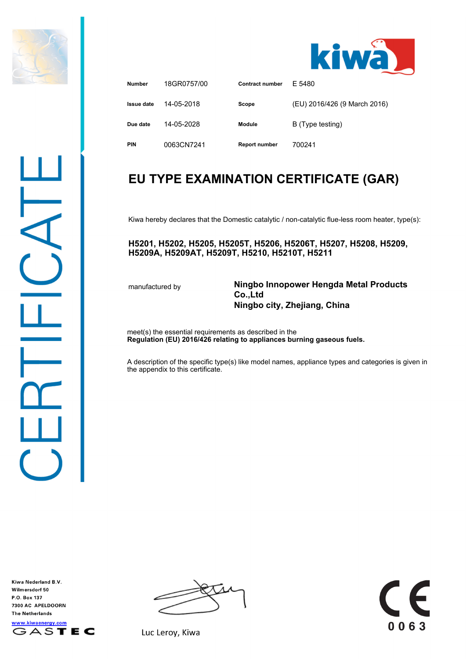



| <b>Number</b> | 18GR0757/00 | <b>Contract number</b> | F 5480                       |
|---------------|-------------|------------------------|------------------------------|
| Issue date    | 14-05-2018  | Scope                  | (EU) 2016/426 (9 March 2016) |
| Due date      | 14-05-2028  | Module                 | B (Type testing)             |
| <b>PIN</b>    | 0063CN7241  | <b>Report number</b>   | 700241                       |

## **EU TYPE EXAMINATION CERTIFICATE (GAR)**

Kiwa hereby declares that the Domestic catalytic / non-catalytic flue-less room heater, type(s):

**H5201, H5202, H5205, H5205T, H5206, H5206T, H5207, H5208, H5209, H5209A, H5209AT, H5209T, H5210, H5210T, H5211**

manufactured by **Ningbo Innopower Hengda Metal Products Co.,Ltd Ningbo city, Zhejiang, China**

E

0063

meet(s) the essential requirements as described in the **Regulation (EU) 2016/426 relating to appliances burning gaseous fuels.**

A description of the specific type(s) like model names, appliance types and categories is given in the appendix to this certificate.

Kiwa Nederland B.V. Wilmersdorf 50 P.O. Box 137 7300 AC APELDOORN **The Netherlands** www.kiwaenergy.com GASTEC



Luc Leroy, Kiwa